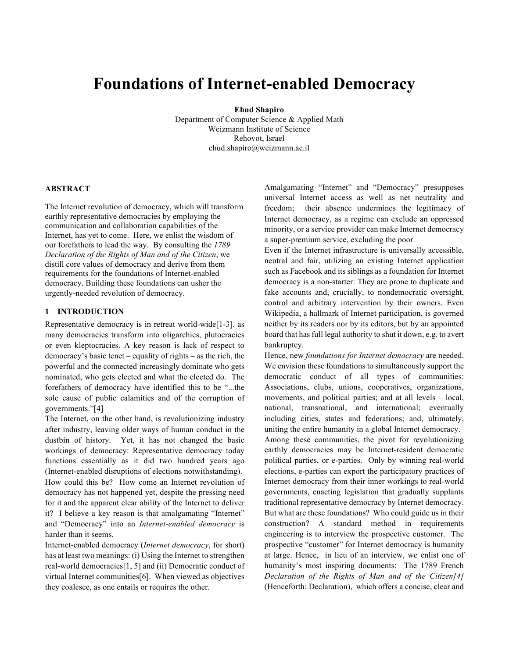# **Foundations of Internet-enabled Democracy**

**Ehud Shapiro**

Department of Computer Science & Applied Math Weizmann Institute of Science Rehovot, Israel ehud.shapiro@weizmann.ac.il

#### **ABSTRACT**

The Internet revolution of democracy, which will transform earthly representative democracies by employing the communication and collaboration capabilities of the Internet, has yet to come. Here, we enlist the wisdom of our forefathers to lead the way. By consulting the *1789 Declaration of the Rights of Man and of the Citizen*, we distill core values of democracy and derive from them requirements for the foundations of Internet-enabled democracy. Building these foundations can usher the urgently-needed revolution of democracy.

# **1 INTRODUCTION**

Representative democracy is in retreat world-wide[1-3], as many democracies transform into oligarchies, plutocracies or even kleptocracies. A key reason is lack of respect to democracy's basic tenet – equality of rights – as the rich, the powerful and the connected increasingly dominate who gets nominated, who gets elected and what the elected do. The forefathers of democracy have identified this to be "...the sole cause of public calamities and of the corruption of governments."[4]

The Internet, on the other hand, is revolutionizing industry after industry, leaving older ways of human conduct in the dustbin of history. Yet, it has not changed the basic workings of democracy: Representative democracy today functions essentially as it did two hundred years ago (Internet-enabled disruptions of elections notwithstanding).

How could this be? How come an Internet revolution of democracy has not happened yet, despite the pressing need for it and the apparent clear ability of the Internet to deliver it? I believe a key reason is that amalgamating "Internet" and "Democracy" into an *Internet-enabled democracy* is harder than it seems.

Internet-enabled democracy (*Internet democracy*, for short) has at least two meanings: (i) Using the Internet to strengthen real-world democracies[1, 5] and (ii) Democratic conduct of virtual Internet communities[6]. When viewed as objectives they coalesce, as one entails or requires the other.

Amalgamating "Internet" and "Democracy" presupposes universal Internet access as well as net neutrality and freedom; their absence undermines the legitimacy of Internet democracy, as a regime can exclude an oppressed minority, or a service provider can make Internet democracy a super-premium service, excluding the poor.

Even if the Internet infrastructure is universally accessible, neutral and fair, utilizing an existing Internet application such as Facebook and its siblings as a foundation for Internet democracy is a non-starter: They are prone to duplicate and fake accounts and, crucially, to nondemocratic oversight, control and arbitrary intervention by their owners. Even Wikipedia, a hallmark of Internet participation, is governed neither by its readers nor by its editors, but by an appointed board that has full legal authority to shut it down, e.g. to avert bankruptcy.

Hence, new *foundations for Internet democracy* are needed. We envision these foundations to simultaneously support the democratic conduct of all types of communities: Associations, clubs, unions, cooperatives, organizations, movements, and political parties; and at all levels – local, national, transnational, and international; eventually including cities, states and federations; and, ultimately, uniting the entire humanity in a global Internet democracy.

Among these communities, the pivot for revolutionizing earthly democracies may be Internet-resident democratic political parties, or e-parties. Only by winning real-world elections, e-parties can export the participatory practices of Internet democracy from their inner workings to real-world governments, enacting legislation that gradually supplants traditional representative democracy by Internet democracy. But what are these foundations? Who could guide us in their construction? A standard method in requirements engineering is to interview the prospective customer. The prospective "customer" for Internet democracy is humanity at large. Hence, in lieu of an interview, we enlist one of humanity's most inspiring documents: The 1789 French *Declaration of the Rights of Man and of the Citizen[4]* (Henceforth: Declaration), which offers a concise, clear and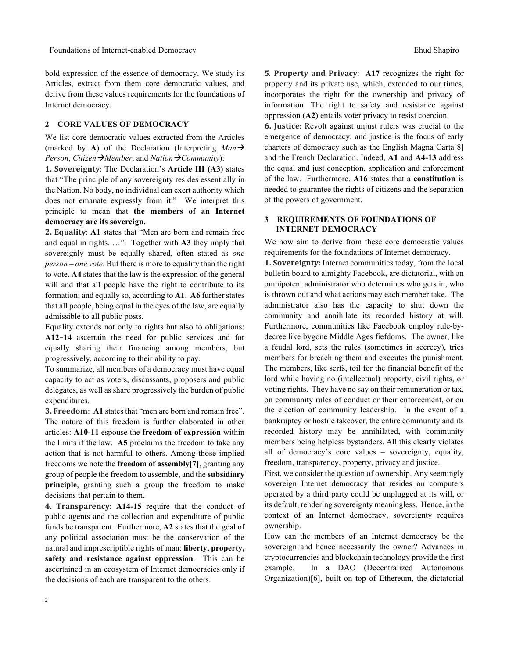bold expression of the essence of democracy. We study its Articles, extract from them core democratic values, and derive from these values requirements for the foundations of Internet democracy.

### **2 CORE VALUES OF DEMOCRACY**

We list core democratic values extracted from the Articles (marked by A) of the Declaration (Interpreting  $Man \rightarrow$ *Person*, *Citizen*à*Member*, and *Nation*à*Community*):

**1. Sovereignty**: The Declaration's **Article III (A3)** states that "The principle of any sovereignty resides essentially in the Nation. No body, no individual can exert authority which does not emanate expressly from it." We interpret this principle to mean that **the members of an Internet democracy are its sovereign.**

2. Equality: A1 states that "Men are born and remain free and equal in rights. …". Together with **A3** they imply that sovereignly must be equally shared, often stated as *one person – one vote*. But there is more to equality than the right to vote. **A4** states that the law is the expression of the general will and that all people have the right to contribute to its formation; and equally so, according to **A1**. **A6** further states that all people, being equal in the eyes of the law, are equally admissible to all public posts.

Equality extends not only to rights but also to obligations: **A12–14** ascertain the need for public services and for equally sharing their financing among members, but progressively, according to their ability to pay.

To summarize, all members of a democracy must have equal capacity to act as voters, discussants, proposers and public delegates, as well as share progressively the burden of public expenditures.

**3. Freedom:** A1 states that "men are born and remain free". The nature of this freedom is further elaborated in other articles: **A10-11** espouse the **freedom of expression** within the limits if the law. **A5** proclaims the freedom to take any action that is not harmful to others. Among those implied freedoms we note the **freedom of assembly[7]**, granting any group of people the freedom to assemble, and the **subsidiary principle**, granting such a group the freedom to make decisions that pertain to them.

**4. Transparency**: **A14-15** require that the conduct of public agents and the collection and expenditure of public funds be transparent. Furthermore, **A2** states that the goal of any political association must be the conservation of the natural and imprescriptible rights of man: **liberty, property, safety and resistance against oppression**. This can be ascertained in an ecosystem of Internet democracies only if the decisions of each are transparent to the others.

 $\overline{2}$ 

**5**. Property and Privacy: A17 recognizes the right for property and its private use, which, extended to our times, incorporates the right for the ownership and privacy of information. The right to safety and resistance against oppression (**A2**) entails voter privacy to resist coercion.

**6. Justice**: Revolt against unjust rulers was crucial to the emergence of democracy, and justice is the focus of early charters of democracy such as the English Magna Carta[8] and the French Declaration. Indeed, **A1** and **A4-13** address the equal and just conception, application and enforcement of the law. Furthermore, **A16** states that a **constitution** is needed to guarantee the rights of citizens and the separation of the powers of government.

### **3 REQUIREMENTS OF FOUNDATIONS OF INTERNET DEMOCRACY**

We now aim to derive from these core democratic values requirements for the foundations of Internet democracy.

**1. Sovereignty:** Internet communities today, from the local bulletin board to almighty Facebook, are dictatorial, with an omnipotent administrator who determines who gets in, who is thrown out and what actions may each member take. The administrator also has the capacity to shut down the community and annihilate its recorded history at will. Furthermore, communities like Facebook employ rule-bydecree like bygone Middle Ages fiefdoms. The owner, like a feudal lord, sets the rules (sometimes in secrecy), tries members for breaching them and executes the punishment. The members, like serfs, toil for the financial benefit of the lord while having no (intellectual) property, civil rights, or voting rights. They have no say on their remuneration or tax, on community rules of conduct or their enforcement, or on the election of community leadership. In the event of a bankruptcy or hostile takeover, the entire community and its recorded history may be annihilated, with community members being helpless bystanders. All this clearly violates all of democracy's core values – sovereignty, equality, freedom, transparency, property, privacy and justice.

First, we consider the question of ownership. Any seemingly sovereign Internet democracy that resides on computers operated by a third party could be unplugged at its will, or its default, rendering sovereignty meaningless. Hence, in the context of an Internet democracy, sovereignty requires ownership.

How can the members of an Internet democracy be the sovereign and hence necessarily the owner? Advances in cryptocurrencies and blockchain technology provide the first example. In a DAO (Decentralized Autonomous Organization)[6], built on top of Ethereum, the dictatorial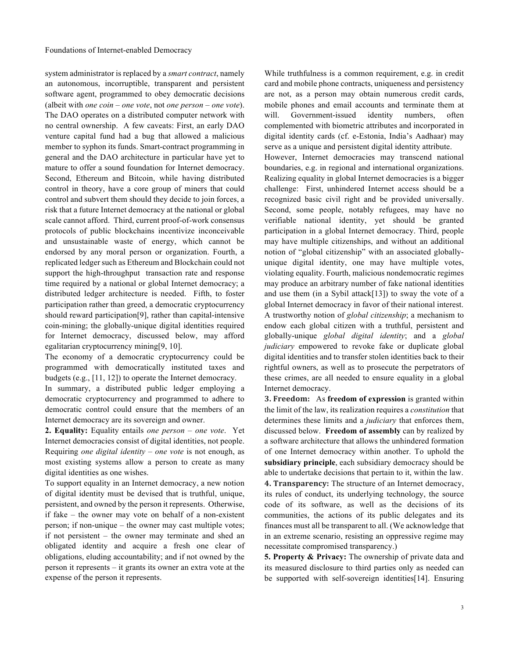system administrator is replaced by a *smart contract*, namely an autonomous, incorruptible, transparent and persistent software agent, programmed to obey democratic decisions (albeit with *one coin – one vote*, not *one person – one vote*). The DAO operates on a distributed computer network with no central ownership. A few caveats: First, an early DAO venture capital fund had a bug that allowed a malicious member to syphon its funds. Smart-contract programming in general and the DAO architecture in particular have yet to mature to offer a sound foundation for Internet democracy. Second, Ethereum and Bitcoin, while having distributed control in theory, have a core group of miners that could control and subvert them should they decide to join forces, a risk that a future Internet democracy at the national or global scale cannot afford. Third, current proof-of-work consensus protocols of public blockchains incentivize inconceivable and unsustainable waste of energy, which cannot be endorsed by any moral person or organization. Fourth, a replicated ledger such as Ethereum and Blockchain could not support the high-throughput transaction rate and response time required by a national or global Internet democracy; a distributed ledger architecture is needed. Fifth, to foster participation rather than greed, a democratic cryptocurrency should reward participation[9], rather than capital-intensive coin-mining; the globally-unique digital identities required for Internet democracy, discussed below, may afford egalitarian cryptocurrency mining[9, 10].

The economy of a democratic cryptocurrency could be programmed with democratically instituted taxes and budgets (e.g., [11, 12]) to operate the Internet democracy.

In summary, a distributed public ledger employing a democratic cryptocurrency and programmed to adhere to democratic control could ensure that the members of an Internet democracy are its sovereign and owner.

**2. Equality:** Equality entails *one person – one vote*. Yet Internet democracies consist of digital identities, not people. Requiring *one digital identity – one vote* is not enough, as most existing systems allow a person to create as many digital identities as one wishes.

To support equality in an Internet democracy, a new notion of digital identity must be devised that is truthful, unique, persistent, and owned by the person it represents. Otherwise, if fake – the owner may vote on behalf of a non-existent person; if non-unique – the owner may cast multiple votes; if not persistent – the owner may terminate and shed an obligated identity and acquire a fresh one clear of obligations, eluding accountability; and if not owned by the person it represents – it grants its owner an extra vote at the expense of the person it represents.

While truthfulness is a common requirement, e.g. in credit card and mobile phone contracts, uniqueness and persistency are not, as a person may obtain numerous credit cards, mobile phones and email accounts and terminate them at will. Government-issued identity numbers, often complemented with biometric attributes and incorporated in digital identity cards (cf. e-Estonia, India's Aadhaar) may serve as a unique and persistent digital identity attribute.

However, Internet democracies may transcend national boundaries, e.g. in regional and international organizations. Realizing equality in global Internet democracies is a bigger challenge: First, unhindered Internet access should be a recognized basic civil right and be provided universally. Second, some people, notably refugees, may have no verifiable national identity, yet should be granted participation in a global Internet democracy. Third, people may have multiple citizenships, and without an additional notion of "global citizenship" with an associated globallyunique digital identity, one may have multiple votes, violating equality. Fourth, malicious nondemocratic regimes may produce an arbitrary number of fake national identities and use them (in a Sybil attack[13]) to sway the vote of a global Internet democracy in favor of their national interest. A trustworthy notion of *global citizenship*; a mechanism to endow each global citizen with a truthful, persistent and globally-unique *global digital identity*; and a *global judiciary* empowered to revoke fake or duplicate global digital identities and to transfer stolen identities back to their rightful owners, as well as to prosecute the perpetrators of these crimes, are all needed to ensure equality in a global Internet democracy.

**3. Freedom:** As freedom of expression is granted within the limit of the law, its realization requires a *constitution* that determines these limits and a *judiciary* that enforces them, discussed below. **Freedom of assembly** can by realized by a software architecture that allows the unhindered formation of one Internet democracy within another. To uphold the **subsidiary principle**, each subsidiary democracy should be able to undertake decisions that pertain to it, within the law. **4. Transparency:** The structure of an Internet democracy, its rules of conduct, its underlying technology, the source code of its software, as well as the decisions of its communities, the actions of its public delegates and its finances must all be transparent to all. (We acknowledge that in an extreme scenario, resisting an oppressive regime may necessitate compromised transparency.)

**5. Property & Privacy:** The ownership of private data and its measured disclosure to third parties only as needed can be supported with self-sovereign identities[14]. Ensuring